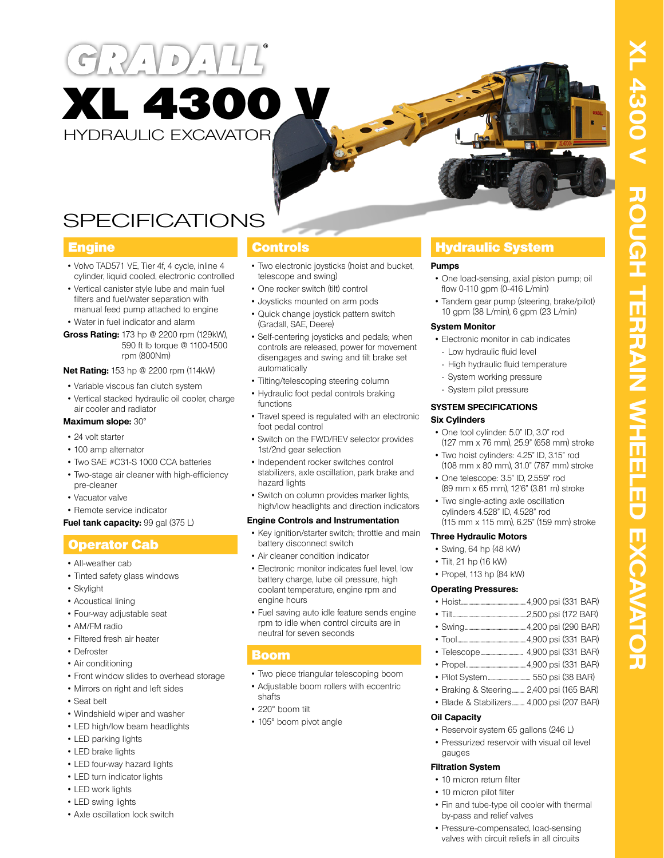



# **SPECIFICATIONS**

- Volvo TAD571 VE, Tier 4f, 4 cycle, inline 4 cylinder, liquid cooled, electronic controlled
- Vertical canister style lube and main fuel filters and fuel/water separation with manual feed pump attached to engine
- Water in fuel indicator and alarm
- **Gross Rating:** 173 hp @ 2200 rpm (129kW), 590 ft lb torque @ 1100-1500 rpm (800Nm)

#### **Net Rating:** 153 hp @ 2200 rpm (114kW)

- Variable viscous fan clutch system
- Vertical stacked hydraulic oil cooler, charge air cooler and radiator

#### **Maximum slope:** 30°

- 24 volt starter
- 100 amp alternator
- Two SAE #C31-S 1000 CCA batteries
- Two-stage air cleaner with high-efficiency pre-cleaner
- Vacuator valve
- Remote service indicator

#### **Fuel tank capacity: 99 gal (375 L)**

### Operator Cab

- All-weather cab
- Tinted safety glass windows
- Skylight
- Acoustical lining
- Four-way adjustable seat
- AM/FM radio
- Filtered fresh air heater
- Defroster
- Air conditioning
- Front window slides to overhead storage
- Mirrors on right and left sides
- Seat belt
- Windshield wiper and washer
- LED high/low beam headlights
- LED parking lights
- LED brake lights
- LED four-way hazard lights
- LED turn indicator lights
- LED work lights
- LED swing lights
- Axle oscillation lock switch

- Two electronic joysticks (hoist and bucket, telescope and swing)
- One rocker switch (tilt) control
- Joysticks mounted on arm pods
- Quick change joystick pattern switch (Gradall, SAE, Deere)
- Self-centering joysticks and pedals; when controls are released, power for movement disengages and swing and tilt brake set automatically
- Tilting/telescoping steering column
- Hydraulic foot pedal controls braking functions
- Travel speed is regulated with an electronic foot pedal control
- Switch on the FWD/REV selector provides 1st/2nd gear selection
- Independent rocker switches control stabilizers, axle oscillation, park brake and hazard lights
- Switch on column provides marker lights, high/low headlights and direction indicators

#### **Engine Controls and Instrumentation**

- Key ignition/starter switch; throttle and main battery disconnect switch
- Air cleaner condition indicator
- Electronic monitor indicates fuel level, low battery charge, lube oil pressure, high coolant temperature, engine rpm and engine hours
- Fuel saving auto idle feature sends engine rpm to idle when control circuits are in neutral for seven seconds

### Boom

- Two piece triangular telescoping boom
- Adjustable boom rollers with eccentric shafts
- 220° boom tilt
- 105° boom pivot angle

### **Engine Controls Controls Hydraulic System**

#### **Pumps**

- One load-sensing, axial piston pump; oil flow 0-110 gpm (0-416 L/min)
- Tandem gear pump (steering, brake/pilot) 10 gpm (38 L/min), 6 gpm (23 L/min)

#### **System Monitor**

- Electronic monitor in cab indicates - Low hydraulic fluid level
- High hydraulic fluid temperature
- System working pressure
- System pilot pressure

#### **SYSTEM SPECIFICATIONS**

#### **Six Cylinders**

- One tool cylinder: 5.0" ID, 3.0" rod (127 mm x 76 mm), 25.9" (658 mm) stroke
- Two hoist cylinders: 4.25" ID, 3.15" rod (108 mm x 80 mm), 31.0" (787 mm) stroke
- One telescope: 3.5" ID, 2.559" rod (89 mm x 65 mm), 12'6" (3.81 m) stroke
- Two single-acting axle oscillation cylinders 4.528" ID, 4.528" rod (115 mm x 115 mm), 6.25" (159 mm) stroke

#### **Three Hydraulic Motors**

- Swing, 64 hp (48 kW)
- Tilt, 21 hp (16 kW)
- Propel, 113 hp (84 kW)

#### **Operating Pressures:**

- Hoist.....................................................4,900 psi (331 BAR)
- Tilt.............................................................2,500 psi (172 BAR)
- Swing..................................................4,200 psi (290 BAR)
- Tool........................................................4,900 psi (331 BAR)
- Telescope................................... 4,900 psi (331 BAR)
- Propel.................................................4,900 psi (331 BAR)
- Pilot System................................... 550 psi (38 BAR)
- Braking & Steering.......... 2,400 psi (165 BAR) • Blade & Stabilizers.......... 4,000 psi (207 BAR)
- **Oil Capacity**
- Reservoir system 65 gallons (246 L)
- Pressurized reservoir with visual oil level gauges

#### **Filtration System**

- 10 micron return filter
- 10 micron pilot filter
- Fin and tube-type oil cooler with thermal by-pass and relief valves
- Pressure-compensated, load-sensing valves with circuit reliefs in all circuits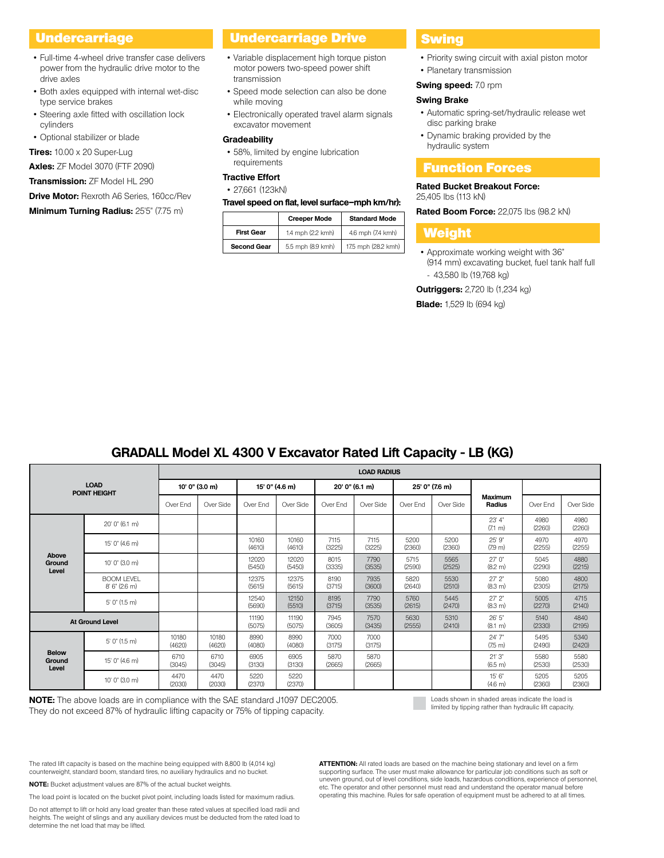### Undercarriage

- Full-time 4-wheel drive transfer case delivers power from the hydraulic drive motor to the drive axles
- Both axles equipped with internal wet-disc type service brakes
- Steering axle fitted with oscillation lock cylinders
- Optional stabilizer or blade

**Tires:** 10.00 x 20 Super-Lug

**Axles:** ZF Model 3070 (FTF 2090)

**Transmission:** ZF Model HL 290

**Drive Motor:** Rexroth A6 Series, 160cc/Rev

#### **Minimum Turning Radius:** 25'5" (7.75 m)

## Undercarriage Drive

- Variable displacement high torque piston motor powers two-speed power shift transmission
- Speed mode selection can also be done while moving
- Electronically operated travel alarm signals excavator movement

#### **Gradeability**

• 58%, limited by engine lubrication requirements

### **Tractive Effort**

### • 27,661 (123kN)

#### **Travel speed on flat, level surface–mph km/hr):**

|                    | <b>Creeper Mode</b> | <b>Standard Mode</b> |
|--------------------|---------------------|----------------------|
| <b>First Gear</b>  | 1.4 mph (2.2 kmh)   | 4.6 mph (7.4 kmh)    |
| <b>Second Gear</b> | 5.5 mph (8.9 kmh)   | 17.5 mph (28.2 kmh)  |

#### **Swing**

- Priority swing circuit with axial piston motor
- Planetary transmission

### **Swing speed:** 7.0 rpm

### **Swing Brake**

- Automatic spring-set/hydraulic release wet disc parking brake
- Dynamic braking provided by the hydraulic system

### Function Forces

### **Rated Bucket Breakout Force:**

25,405 lbs (113 kN)

**Rated Boom Force:** 22,075 lbs (98.2 kN)

### Weight

• Approximate working weight with 36" (914 mm) excavating bucket, fuel tank half full - 43,580 lb (19,768 kg)

**Outriggers:** 2,720 lb (1,234 kg)

**Blade:** 1,529 lb (694 kg)

|                                    | <b>LOAD RADIUS</b>                                                                                                                                        |                 |                 |                 |                 |                |                |                |                |                             |                |                |
|------------------------------------|-----------------------------------------------------------------------------------------------------------------------------------------------------------|-----------------|-----------------|-----------------|-----------------|----------------|----------------|----------------|----------------|-----------------------------|----------------|----------------|
| <b>LOAD</b><br><b>POINT HEIGHT</b> |                                                                                                                                                           | 10' 0" (3.0 m)  |                 | 15' 0" (4.6 m)  |                 | 20' 0" (6.1 m) |                | 25' 0" (7.6 m) |                |                             |                |                |
|                                    |                                                                                                                                                           | Over End        | Over Side       | Over End        | Over Side       | Over Fnd       | Over Side      | Over Fnd       | Over Side      | <b>Maximum</b><br>Radius    | Over End       | Over Side      |
| Above<br>Ground<br>Level           | 20' 0" (6.1 m)                                                                                                                                            |                 |                 |                 |                 |                |                |                |                | 23' 4"<br>$(7.1 \text{ m})$ | 4980<br>(2260) | 4980<br>(2260) |
|                                    | 15' 0" (4.6 m)                                                                                                                                            |                 |                 | 10160<br>(4610) | 10160<br>(4610) | 7115<br>(3225) | 7115<br>(3225) | 5200<br>(2360) | 5200<br>(2360) | 25'9"<br>(79 <sub>m</sub> ) | 4970<br>(2255) | 4970<br>(2255) |
|                                    | 10' 0" (3.0 m)                                                                                                                                            |                 |                 | 12020<br>(5450) | 12020<br>(5450) | 8015<br>(3335) | 7790<br>(3535) | 5715<br>(2590) | 5565<br>(2525) | 27'0''<br>(8.2 m)           | 5045<br>(2290) | 4880<br>(2215) |
|                                    | <b>BOOM LEVEL</b><br>8'6'' (2.6 m)                                                                                                                        |                 |                 | 12375<br>(5615) | 12375<br>(5615) | 8190<br>(3715) | 7935<br>(3600) | 5820<br>(2640) | 5530<br>(2510) | 27'2"<br>(8.3 m)            | 5080<br>(2305) | 4800<br>(2175) |
|                                    | 5' 0'' (1.5 m)                                                                                                                                            |                 |                 | 12540<br>(5690) | 12150<br>(5510) | 8195<br>(3715) | 7790<br>(3535) | 5760<br>(2615) | 5445<br>(2470) | 27'2"<br>(8.3 m)            | 5005<br>(2270) | 4715<br>(2140) |
|                                    | 11190<br>11190<br>7570<br>26'5''<br>7945<br>5630<br>5310<br><b>At Ground Level</b><br>(5075)<br>(5075)<br>(3605)<br>(3435)<br>(2555)<br>(2410)<br>(8.1 m) |                 | 5140<br>(2330)  | 4840<br>(2195)  |                 |                |                |                |                |                             |                |                |
| <b>Below</b><br>Ground<br>Level    | 5' 0'' (1.5 m)                                                                                                                                            | 10180<br>(4620) | 10180<br>(4620) | 8990<br>(4080)  | 8990<br>(4080)  | 7000<br>(3175) | 7000<br>(3175) |                |                | 24'7"<br>(7.5 m)            | 5495<br>(2490) | 5340<br>(2420) |
|                                    | 15' 0" (4.6 m)                                                                                                                                            | 6710<br>(3045)  | 6710<br>(3045)  | 6905<br>(3130)  | 6905<br>(3130)  | 5870<br>(2665) | 5870<br>(2665) |                |                | 21'3"<br>(6.5 m)            | 5580<br>(2530) | 5580<br>(2530) |
|                                    | 10' 0" (3.0 m)                                                                                                                                            | 4470<br>(2030)  | 4470<br>(2030)  | 5220<br>(2370)  | 5220<br>(2370)  |                |                |                |                | 15'6''<br>(4.6 m)           | 5205<br>(2360) | 5205<br>(2360) |

## **GRADALL Model XL 4300 V Excavator Rated Lift Capacity - LB (KG)**

**NOTE:** The above loads are in compliance with the SAE standard J1097 DEC2005. They do not exceed 87% of hydraulic lifting capacity or 75% of tipping capacity.

Loads shown in shaded areas indicate the load is limited by tipping rather than hydraulic lift capacity.

The rated lift capacity is based on the machine being equipped with 8,800 lb (4,014 kg) counterweight, standard boom, standard tires, no auxiliary hydraulics and no bucket.

**NOTE:** Bucket adjustment values are 87% of the actual bucket weights.

The load point is located on the bucket pivot point, including loads listed for maximum radius.

Do not attempt to lift or hold any load greater than these rated values at specified load radii and heights. The weight of slings and any auxiliary devices must be deducted from the rated load to determine the net load that may be lifted.

**ATTENTION:** All rated loads are based on the machine being stationary and level on a firm supporting surface. The user must make allowance for particular job conditions such as soft or uneven ground, out of level conditions, side loads, hazardous conditions, experience of personnel, etc. The operator and other personnel must read and understand the operator manual before operating this machine. Rules for safe operation of equipment must be adhered to at all times.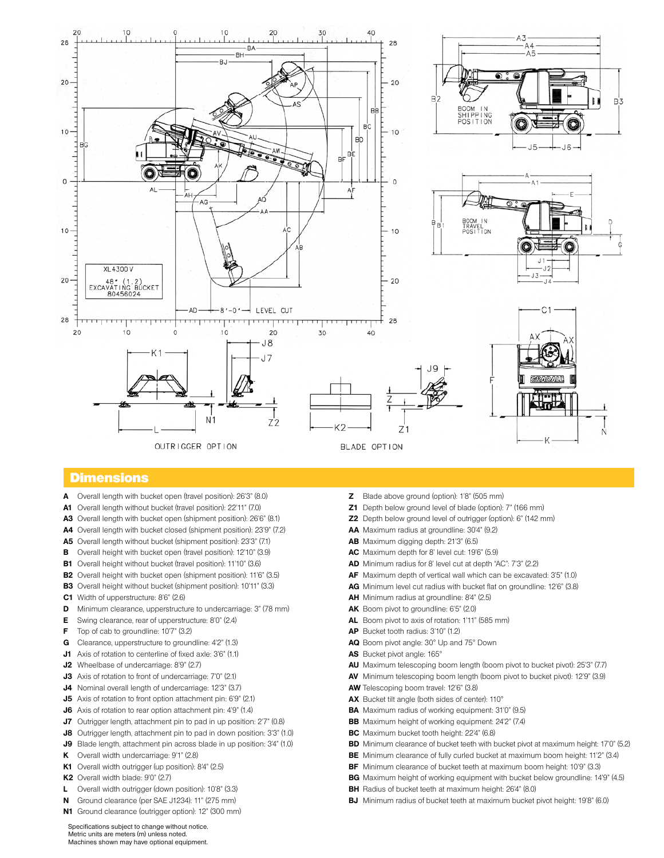

### **Dimensions**

- **A** Overall length with bucket open (travel position): 26'3" (8.0)
- **A1** Overall length without bucket (travel position): 22'11" (7.0)
- **A3** Overall length with bucket open (shipment position): 26'6" (8.1)
- **A4** Overall length with bucket closed (shipment position): 23'9" (7.2)
- **A5** Overall length without bucket (shipment position): 23'3" (7.1)
- **B** Overall height with bucket open (travel position): 12'10" (3.9)
- **B1** Overall height without bucket (travel position): 11'10" (3.6)
- **B2** Overall height with bucket open (shipment position): 11'6" (3.5)
- **B3** Overall height without bucket (shipment position): 10'11" (3.3)
- **C1** Width of upperstructure: 8'6" (2.6)
- **D** Minimum clearance, upperstructure to undercarriage: 3" (78 mm)
- **E** Swing clearance, rear of upperstructure: 8'0" (2.4)
- **F** Top of cab to groundline: 10'7" (3.2)
- **G** Clearance, upperstructure to groundline: 4'2" (1.3)
- **J1** Axis of rotation to centerline of fixed axle: 3'6" (1.1)
- **J2** Wheelbase of undercarriage: 8'9" (2.7)
- **J3** Axis of rotation to front of undercarriage: 7'0" (2.1)
- **J4** Nominal overall length of undercarriage: 12'3" (3.7)
- **J5** Axis of rotation to front option attachment pin: 6'9" (2.1)
- **J6** Axis of rotation to rear option attachment pin: 4'9" (1.4)
- **J7** Outrigger length, attachment pin to pad in up position: 2'7" (0.8)
- **J8** Outrigger length, attachment pin to pad in down position: 3'3" (1.0)
- **J9** Blade length, attachment pin across blade in up position: 3'4" (1.0)
- **K** Overall width undercarriage: 9'1" (2.8)
- **K1** Overall width outrigger (up position): 8'4" (2.5)
- **K2** Overall width blade: 9'0" (2.7)
- **L** Overall width outrigger (down position): 10'8" (3.3)
- **N** Ground clearance (per SAE J1234): 11" (275 mm)
- **N1** Ground clearance (outrigger option): 12" (300 mm)
- **Z** Blade above ground (option): 1'8" (505 mm)
- **Z1** Depth below ground level of blade (option): 7" (166 mm)
- **Z2** Depth below ground level of outrigger (option): 6" (142 mm)
- **AA** Maximum radius at groundline: 30'4" (9.2)
- **AB** Maximum digging depth: 21'3" (6.5)
- **AC** Maximum depth for 8' level cut: 19'6" (5.9)
- **AD** Minimum radius for 8' level cut at depth "AC": 7'3" (2.2)
- **AF** Maximum depth of vertical wall which can be excavated: 3'5" (1.0)
- **AG** Minimum level cut radius with bucket flat on groundline: 12'6" (3.8)
- **AH** Minimum radius at groundline: 8'4" (2.5)
- **AK** Boom pivot to groundline: 6'5" (2.0)
- **AL** Boom pivot to axis of rotation: 1'11" (585 mm)
- **AP** Bucket tooth radius: 3'10" (1.2)
- **AQ** Boom pivot angle: 30° Up and 75° Down
- **AS** Bucket pivot angle: 165°
- **AU** Maximum telescoping boom length (boom pivot to bucket pivot): 25'3" (7.7)
- **AV** Minimum telescoping boom length (boom pivot to bucket pivot): 12'9" (3.9)
- **AW** Telescoping boom travel: 12'6" (3.8)
- **AX** Bucket tilt angle (both sides of center): 110°
- **BA** Maximum radius of working equipment: 31'0" (9.5)
- **BB** Maximum height of working equipment: 24'2" (7.4)
- **BC** Maximum bucket tooth height: 22'4" (6.8)
- **BD** Minimum clearance of bucket teeth with bucket pivot at maximum height: 17'0" (5.2)
- **BE** Minimum clearance of fully curled bucket at maximum boom height: 11'2" (3.4)
- **BF** Minimum clearance of bucket teeth at maximum boom height: 10'9" (3.3)
- **BG** Maximum height of working equipment with bucket below groundline: 14'9" (4.5)
- **BH** Radius of bucket teeth at maximum height: 26'4" (8.0)
- **BJ** Minimum radius of bucket teeth at maximum bucket pivot height: 19'8" (6.0)

Specifications subject to change without notice. Metric units are meters (m) unless noted. Machines shown may have optional equipment.